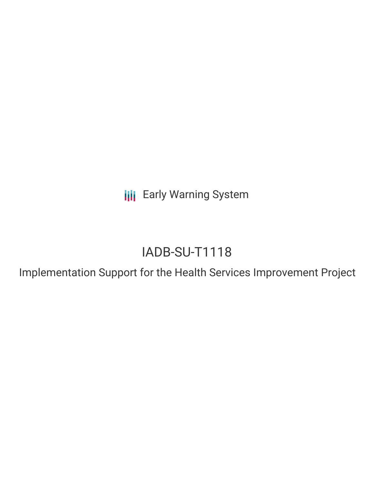**III** Early Warning System

# IADB-SU-T1118

Implementation Support for the Health Services Improvement Project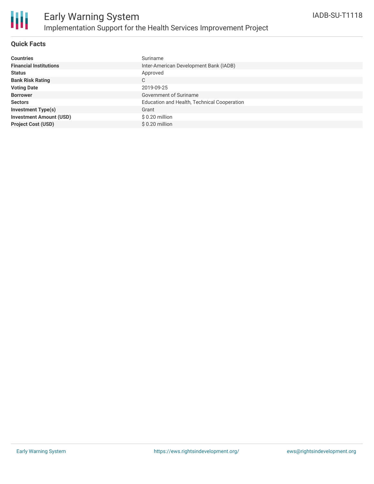

#### **Quick Facts**

| <b>Countries</b>               | Suriname                                    |
|--------------------------------|---------------------------------------------|
| <b>Financial Institutions</b>  | Inter-American Development Bank (IADB)      |
| <b>Status</b>                  | Approved                                    |
| <b>Bank Risk Rating</b>        | С                                           |
| <b>Voting Date</b>             | 2019-09-25                                  |
| <b>Borrower</b>                | Government of Suriname                      |
| <b>Sectors</b>                 | Education and Health, Technical Cooperation |
| <b>Investment Type(s)</b>      | Grant                                       |
| <b>Investment Amount (USD)</b> | $$0.20$ million                             |
| <b>Project Cost (USD)</b>      | $$0.20$ million                             |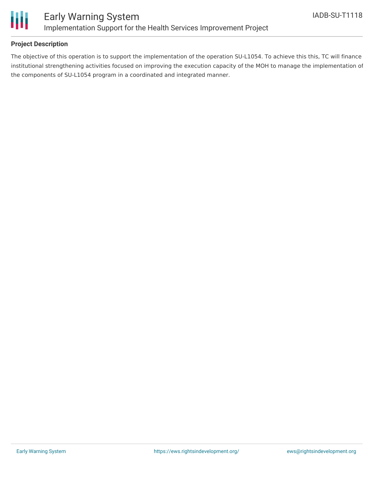

#### **Project Description**

The objective of this operation is to support the implementation of the operation SU-L1054. To achieve this this, TC will finance institutional strengthening activities focused on improving the execution capacity of the MOH to manage the implementation of the components of SU-L1054 program in a coordinated and integrated manner.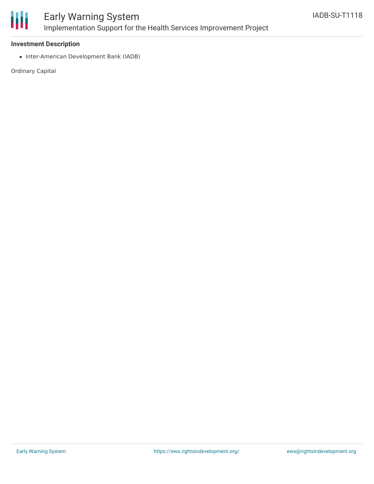

## Early Warning System Implementation Support for the Health Services Improvement Project

#### **Investment Description**

• Inter-American Development Bank (IADB)

Ordinary Capital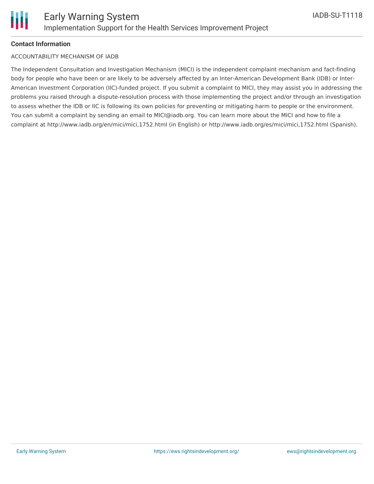#### **Contact Information**

#### ACCOUNTABILITY MECHANISM OF IADB

The Independent Consultation and Investigation Mechanism (MICI) is the independent complaint mechanism and fact-finding body for people who have been or are likely to be adversely affected by an Inter-American Development Bank (IDB) or Inter-American Investment Corporation (IIC)-funded project. If you submit a complaint to MICI, they may assist you in addressing the problems you raised through a dispute-resolution process with those implementing the project and/or through an investigation to assess whether the IDB or IIC is following its own policies for preventing or mitigating harm to people or the environment. You can submit a complaint by sending an email to MICI@iadb.org. You can learn more about the MICI and how to file a complaint at http://www.iadb.org/en/mici/mici,1752.html (in English) or http://www.iadb.org/es/mici/mici,1752.html (Spanish).